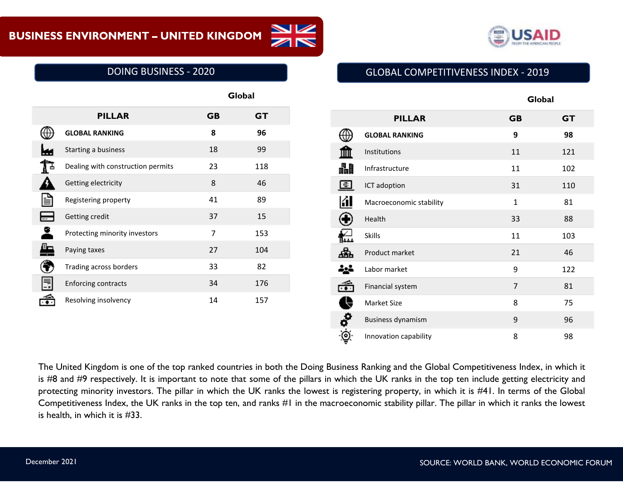

# DOING BUSINESS - 2020

|                                   |           | Global    |  |
|-----------------------------------|-----------|-----------|--|
| <b>PILLAR</b>                     | <b>GB</b> | <b>GT</b> |  |
| <b>GLOBAL RANKING</b>             | 8         | 96        |  |
| Starting a business               | 18        | 99        |  |
| Dealing with construction permits | 23        | 118       |  |
| Getting electricity               | 8         | 46        |  |
| Registering property              | 41        | 89        |  |
| Getting credit                    | 37        | 15        |  |
| Protecting minority investors     | 7         | 153       |  |
| Paying taxes                      | 27        | 104       |  |
| Trading across borders            | 33        | 82        |  |
| <b>Enforcing contracts</b>        | 34        | 176       |  |
| Resolving insolvency              | 14        | 157       |  |

# GLOBAL COMPETITIVENESS INDEX - 2019

|               | <b>PILLAR</b>            | <b>GB</b>      | <b>GT</b> |
|---------------|--------------------------|----------------|-----------|
|               | <b>GLOBAL RANKING</b>    | 9              | 98        |
|               | Institutions             | 11             | 121       |
| 畾             | Infrastructure           | 11             | 102       |
|               | ICT adoption             | 31             | 110       |
|               | Macroeconomic stability  | $\mathbf{1}$   | 81        |
|               | Health                   | 33             | 88        |
|               | <b>Skills</b>            | 11             | 103       |
|               | Product market           | 21             | 46        |
| 讏             | Labor market             | 9              | 122       |
|               | Financial system         | $\overline{7}$ | 81        |
| \$            | Market Size              | 8              | 75        |
| $\frac{1}{2}$ | <b>Business dynamism</b> | 9              | 96        |
|               | Innovation capability    | 8              | 98        |

The United Kingdom is one of the top ranked countries in both the Doing Business Ranking and the Global Competitiveness Index, in which it is #8 and #9 respectively. It is important to note that some of the pillars in which the UK ranks in the top ten include getting electricity and protecting minority investors. The pillar in which the UK ranks the lowest is registering property, in which it is #41. In terms of the Global Competitiveness Index, the UK ranks in the top ten, and ranks #1 in the macroeconomic stability pillar. The pillar in which it ranks the lowest is health, in which it is #33.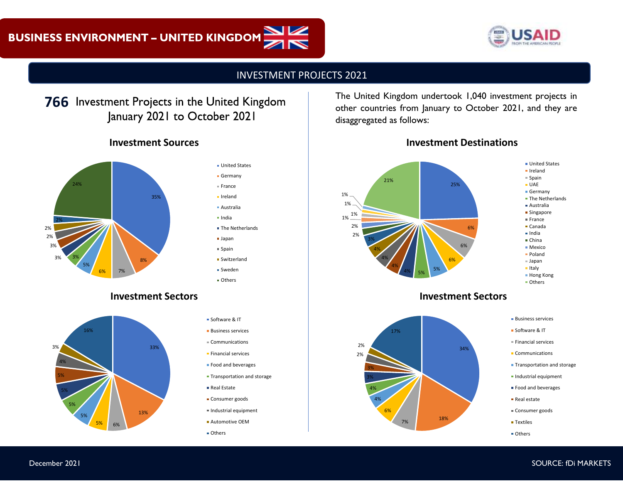

#### INVESTMENT PROJECTS 2021

# **766** Investment Projects in the United Kingdom January 2021 to October 2021

# **Investment Sources**



#### **United States** Germany  $=$  France

- Ireland
- Australia
- India
- **The Netherlands**
- Japan
- $s$ Spain
- Switzerland
- **Sweden**
- **Others**

#### **Investment Sectors**



| ■ Software & IT              |
|------------------------------|
| <b>Business services</b>     |
| $\equiv$ Communications      |
| <b>Elinancial services</b>   |
| • Food and beverages         |
| • Transportation and storage |
| • Real Estate                |

- 
- **Consumer goods**
- $I$ Industrial equipment
- Automotive OEM
- Others

The United Kingdom undertook 1,040 investment projects in other countries from January to October 2021, and they are disaggregated as follows:





#### **Investment Sectors**





- **Software & IT**
- $F$  Financial services
- **Communications**
- **Transportation and storage**
- **Industrial equipment**
- Food and beverages
- Real estate
- Consumer goods
- **Textiles**
- **Others**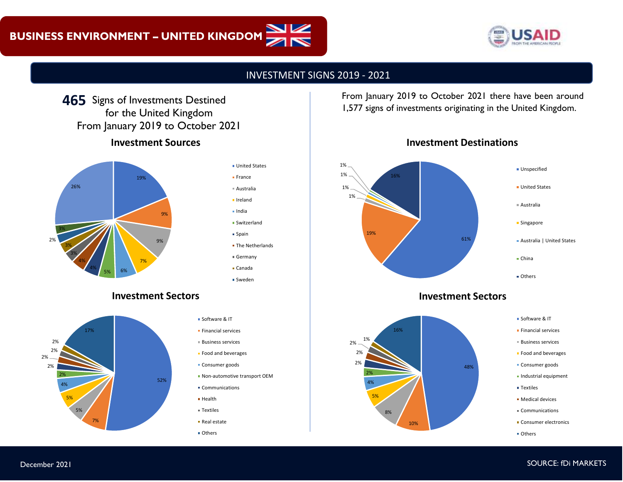

#### INVESTMENT SIGNS 2019 - 2021

# **Investment Sources** 465 Signs of Investments Destined for the United Kingdom From January 2019 to October 2021





#### **Investment Sectors**



- Software & IT
- $F$ inancial services
- Business services
- **Food and beverages**
- **Consumer goods**
- Non-automotive transport OEM
- Communications
- **Health**
- Textiles
- Real estate
- Others

**465** From January 2019 to October 2021 there have been around 1,577 signs of investments originating in the United Kingdom.





#### **Investment Sectors**





- **Financial services**
- Business services
- **Food and beverages**
- **Consumer goods**
- Industrial equipment
- **Textiles**
- **Medical devices**
- Communications
- **Consumer electronics**
- **Others**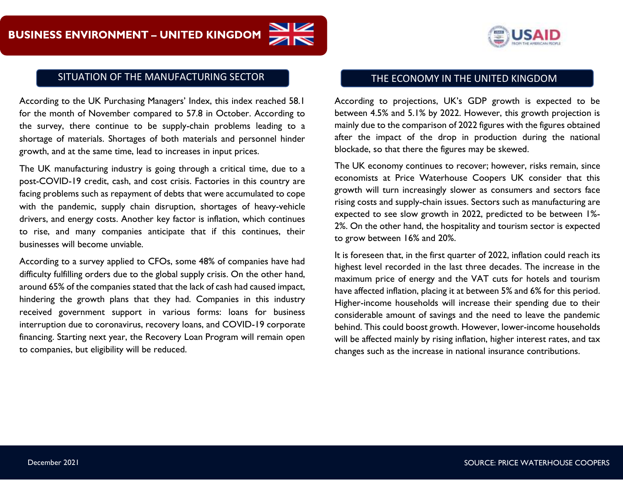

## SITUATION OF THE MANUFACTURING SECTOR THE ECONOMY IN THE UNITED KINGDOM

According to the UK Purchasing Managers' Index, this index reached 58.1 for the month of November compared to 57.8 in October. According to the survey, there continue to be supply-chain problems leading to a shortage of materials. Shortages of both materials and personnel hinder growth, and at the same time, lead to increases in input prices.

The UK manufacturing industry is going through a critical time, due to a post-COVID-19 credit, cash, and cost crisis. Factories in this country are facing problems such as repayment of debts that were accumulated to cope with the pandemic, supply chain disruption, shortages of heavy-vehicle drivers, and energy costs. Another key factor is inflation, which continues to rise, and many companies anticipate that if this continues, their businesses will become unviable.

According to a survey applied to CFOs, some 48% of companies have had difficulty fulfilling orders due to the global supply crisis. On the other hand, around 65% of the companies stated that the lack of cash had caused impact, hindering the growth plans that they had. Companies in this industry received government support in various forms: loans for business interruption due to coronavirus, recovery loans, and COVID-19 corporate financing. Starting next year, the Recovery Loan Program will remain open to companies, but eligibility will be reduced.

According to projections, UK's GDP growth is expected to be between 4.5% and 5.1% by 2022. However, this growth projection is mainly due to the comparison of 2022 figures with the figures obtained after the impact of the drop in production during the national blockade, so that there the figures may be skewed.

The UK economy continues to recover; however, risks remain, since economists at Price Waterhouse Coopers UK consider that this growth will turn increasingly slower as consumers and sectors face rising costs and supply-chain issues. Sectors such as manufacturing are expected to see slow growth in 2022, predicted to be between 1%- 2%. On the other hand, the hospitality and tourism sector is expected to grow between 16% and 20%.

It is foreseen that, in the first quarter of 2022, inflation could reach its highest level recorded in the last three decades. The increase in the maximum price of energy and the VAT cuts for hotels and tourism have affected inflation, placing it at between 5% and 6% for this period. Higher-income households will increase their spending due to their considerable amount of savings and the need to leave the pandemic behind. This could boost growth. However, lower-income households will be affected mainly by rising inflation, higher interest rates, and tax changes such as the increase in national insurance contributions.